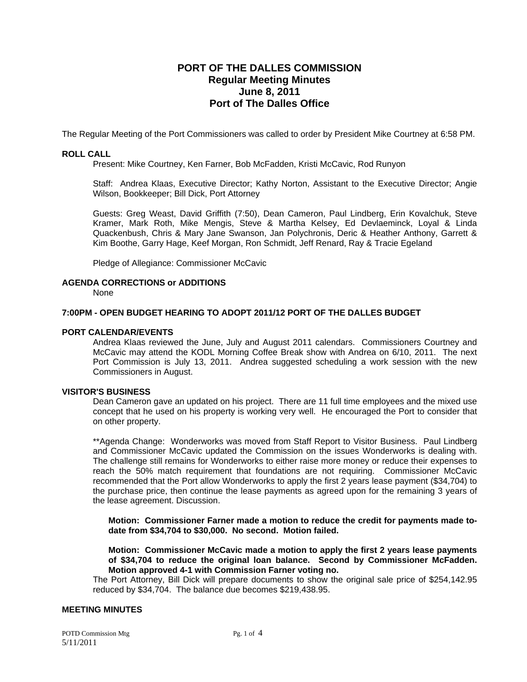# **PORT OF THE DALLES COMMISSION Regular Meeting Minutes June 8, 2011 Port of The Dalles Office**

The Regular Meeting of the Port Commissioners was called to order by President Mike Courtney at 6:58 PM.

# **ROLL CALL**

Present: Mike Courtney, Ken Farner, Bob McFadden, Kristi McCavic, Rod Runyon

Staff: Andrea Klaas, Executive Director; Kathy Norton, Assistant to the Executive Director; Angie Wilson, Bookkeeper; Bill Dick, Port Attorney

Guests: Greg Weast, David Griffith (7:50), Dean Cameron, Paul Lindberg, Erin Kovalchuk, Steve Kramer, Mark Roth, Mike Mengis, Steve & Martha Kelsey, Ed Devlaeminck, Loyal & Linda Quackenbush, Chris & Mary Jane Swanson, Jan Polychronis, Deric & Heather Anthony, Garrett & Kim Boothe, Garry Hage, Keef Morgan, Ron Schmidt, Jeff Renard, Ray & Tracie Egeland

Pledge of Allegiance: Commissioner McCavic

### **AGENDA CORRECTIONS or ADDITIONS**

None

# **7:00PM - OPEN BUDGET HEARING TO ADOPT 2011/12 PORT OF THE DALLES BUDGET**

### **PORT CALENDAR/EVENTS**

Andrea Klaas reviewed the June, July and August 2011 calendars. Commissioners Courtney and McCavic may attend the KODL Morning Coffee Break show with Andrea on 6/10, 2011. The next Port Commission is July 13, 2011. Andrea suggested scheduling a work session with the new Commissioners in August.

# **VISITOR'S BUSINESS**

Dean Cameron gave an updated on his project. There are 11 full time employees and the mixed use concept that he used on his property is working very well. He encouraged the Port to consider that on other property.

\*\*Agenda Change: Wonderworks was moved from Staff Report to Visitor Business. Paul Lindberg and Commissioner McCavic updated the Commission on the issues Wonderworks is dealing with. The challenge still remains for Wonderworks to either raise more money or reduce their expenses to reach the 50% match requirement that foundations are not requiring. Commissioner McCavic recommended that the Port allow Wonderworks to apply the first 2 years lease payment (\$34,704) to the purchase price, then continue the lease payments as agreed upon for the remaining 3 years of the lease agreement. Discussion.

**Motion: Commissioner Farner made a motion to reduce the credit for payments made todate from \$34,704 to \$30,000. No second. Motion failed.** 

**Motion: Commissioner McCavic made a motion to apply the first 2 years lease payments of \$34,704 to reduce the original loan balance. Second by Commissioner McFadden. Motion approved 4-1 with Commission Farner voting no.** 

The Port Attorney, Bill Dick will prepare documents to show the original sale price of \$254,142.95 reduced by \$34,704. The balance due becomes \$219,438.95.

# **MEETING MINUTES**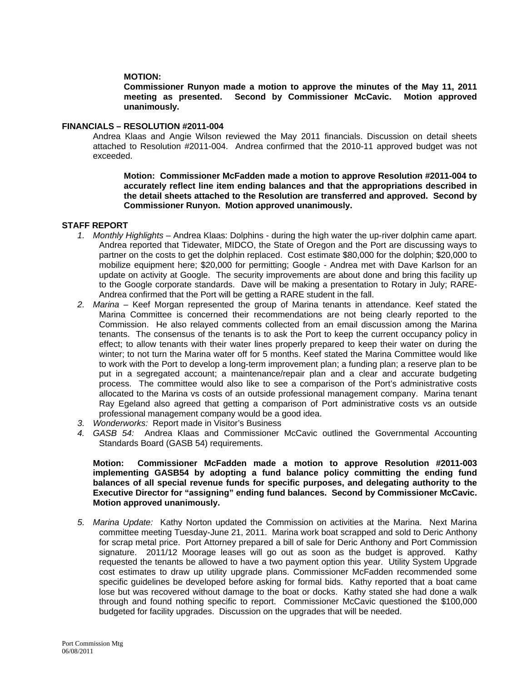## **MOTION:**

**Commissioner Runyon made a motion to approve the minutes of the May 11, 2011 meeting as presented. Second by Commissioner McCavic. Motion approved unanimously.** 

#### **FINANCIALS – RESOLUTION #2011-004**

Andrea Klaas and Angie Wilson reviewed the May 2011 financials. Discussion on detail sheets attached to Resolution #2011-004. Andrea confirmed that the 2010-11 approved budget was not exceeded.

**Motion: Commissioner McFadden made a motion to approve Resolution #2011-004 to accurately reflect line item ending balances and that the appropriations described in the detail sheets attached to the Resolution are transferred and approved. Second by Commissioner Runyon. Motion approved unanimously.** 

### **STAFF REPORT**

- *1. Monthly Highlights* Andrea Klaas: Dolphins during the high water the up-river dolphin came apart. Andrea reported that Tidewater, MIDCO, the State of Oregon and the Port are discussing ways to partner on the costs to get the dolphin replaced. Cost estimate \$80,000 for the dolphin; \$20,000 to mobilize equipment here; \$20,000 for permitting; Google - Andrea met with Dave Karlson for an update on activity at Google. The security improvements are about done and bring this facility up to the Google corporate standards. Dave will be making a presentation to Rotary in July; RARE-Andrea confirmed that the Port will be getting a RARE student in the fall.
- *2. Marina* Keef Morgan represented the group of Marina tenants in attendance. Keef stated the Marina Committee is concerned their recommendations are not being clearly reported to the Commission. He also relayed comments collected from an email discussion among the Marina tenants. The consensus of the tenants is to ask the Port to keep the current occupancy policy in effect; to allow tenants with their water lines properly prepared to keep their water on during the winter; to not turn the Marina water off for 5 months. Keef stated the Marina Committee would like to work with the Port to develop a long-term improvement plan; a funding plan; a reserve plan to be put in a segregated account; a maintenance/repair plan and a clear and accurate budgeting process. The committee would also like to see a comparison of the Port's administrative costs allocated to the Marina vs costs of an outside professional management company. Marina tenant Ray Egeland also agreed that getting a comparison of Port administrative costs vs an outside professional management company would be a good idea.
- *3. Wonderworks:* Report made in Visitor's Business
- *4. GASB 54:* Andrea Klaas and Commissioner McCavic outlined the Governmental Accounting Standards Board (GASB 54) requirements.

**Motion: Commissioner McFadden made a motion to approve Resolution #2011-003 implementing GASB54 by adopting a fund balance policy committing the ending fund balances of all special revenue funds for specific purposes, and delegating authority to the Executive Director for "assigning" ending fund balances. Second by Commissioner McCavic. Motion approved unanimously.** 

*5. Marina Update:* Kathy Norton updated the Commission on activities at the Marina. Next Marina committee meeting Tuesday-June 21, 2011. Marina work boat scrapped and sold to Deric Anthony for scrap metal price. Port Attorney prepared a bill of sale for Deric Anthony and Port Commission signature. 2011/12 Moorage leases will go out as soon as the budget is approved. Kathy requested the tenants be allowed to have a two payment option this year. Utility System Upgrade cost estimates to draw up utility upgrade plans. Commissioner McFadden recommended some specific guidelines be developed before asking for formal bids. Kathy reported that a boat came lose but was recovered without damage to the boat or docks. Kathy stated she had done a walk through and found nothing specific to report. Commissioner McCavic questioned the \$100,000 budgeted for facility upgrades. Discussion on the upgrades that will be needed.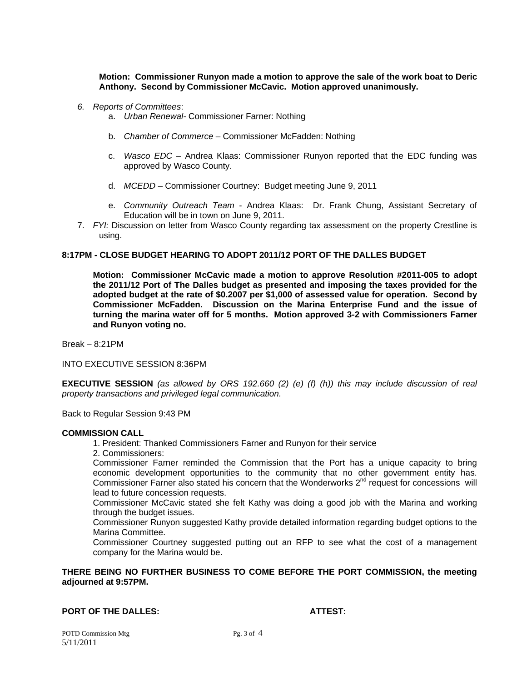**Motion: Commissioner Runyon made a motion to approve the sale of the work boat to Deric Anthony. Second by Commissioner McCavic. Motion approved unanimously.** 

- *6. Reports of Committees*:
	- a. *Urban Renewal-* Commissioner Farner: Nothing
	- b. *Chamber of Commerce*  Commissioner McFadden: Nothing
	- c. *Wasco EDC*  Andrea Klaas: Commissioner Runyon reported that the EDC funding was approved by Wasco County.
	- d. *MCEDD* Commissioner Courtney: Budget meeting June 9, 2011
	- e. *Community Outreach Team* Andrea Klaas: Dr. Frank Chung, Assistant Secretary of Education will be in town on June 9, 2011.
- 7. *FYI:* Discussion on letter from Wasco County regarding tax assessment on the property Crestline is using.

# **8:17PM - CLOSE BUDGET HEARING TO ADOPT 2011/12 PORT OF THE DALLES BUDGET**

**Motion: Commissioner McCavic made a motion to approve Resolution #2011-005 to adopt the 2011/12 Port of The Dalles budget as presented and imposing the taxes provided for the adopted budget at the rate of \$0.2007 per \$1,000 of assessed value for operation. Second by Commissioner McFadden. Discussion on the Marina Enterprise Fund and the issue of turning the marina water off for 5 months. Motion approved 3-2 with Commissioners Farner and Runyon voting no.** 

Break – 8:21PM

INTO EXECUTIVE SESSION 8:36PM

**EXECUTIVE SESSION** *(as allowed by ORS 192.660 (2) (e) (f) (h)) this may include discussion of real property transactions and privileged legal communication.* 

Back to Regular Session 9:43 PM

#### **COMMISSION CALL**

- 1. President: Thanked Commissioners Farner and Runyon for their service
- 2. Commissioners:

Commissioner Farner reminded the Commission that the Port has a unique capacity to bring economic development opportunities to the community that no other government entity has. Commissioner Farner also stated his concern that the Wonderworks  $2^{nd}$  request for concessions will lead to future concession requests.

Commissioner McCavic stated she felt Kathy was doing a good job with the Marina and working through the budget issues.

Commissioner Runyon suggested Kathy provide detailed information regarding budget options to the Marina Committee.

Commissioner Courtney suggested putting out an RFP to see what the cost of a management company for the Marina would be.

# **THERE BEING NO FURTHER BUSINESS TO COME BEFORE THE PORT COMMISSION, the meeting adjourned at 9:57PM.**

### **PORT OF THE DALLES: ATTEST:**